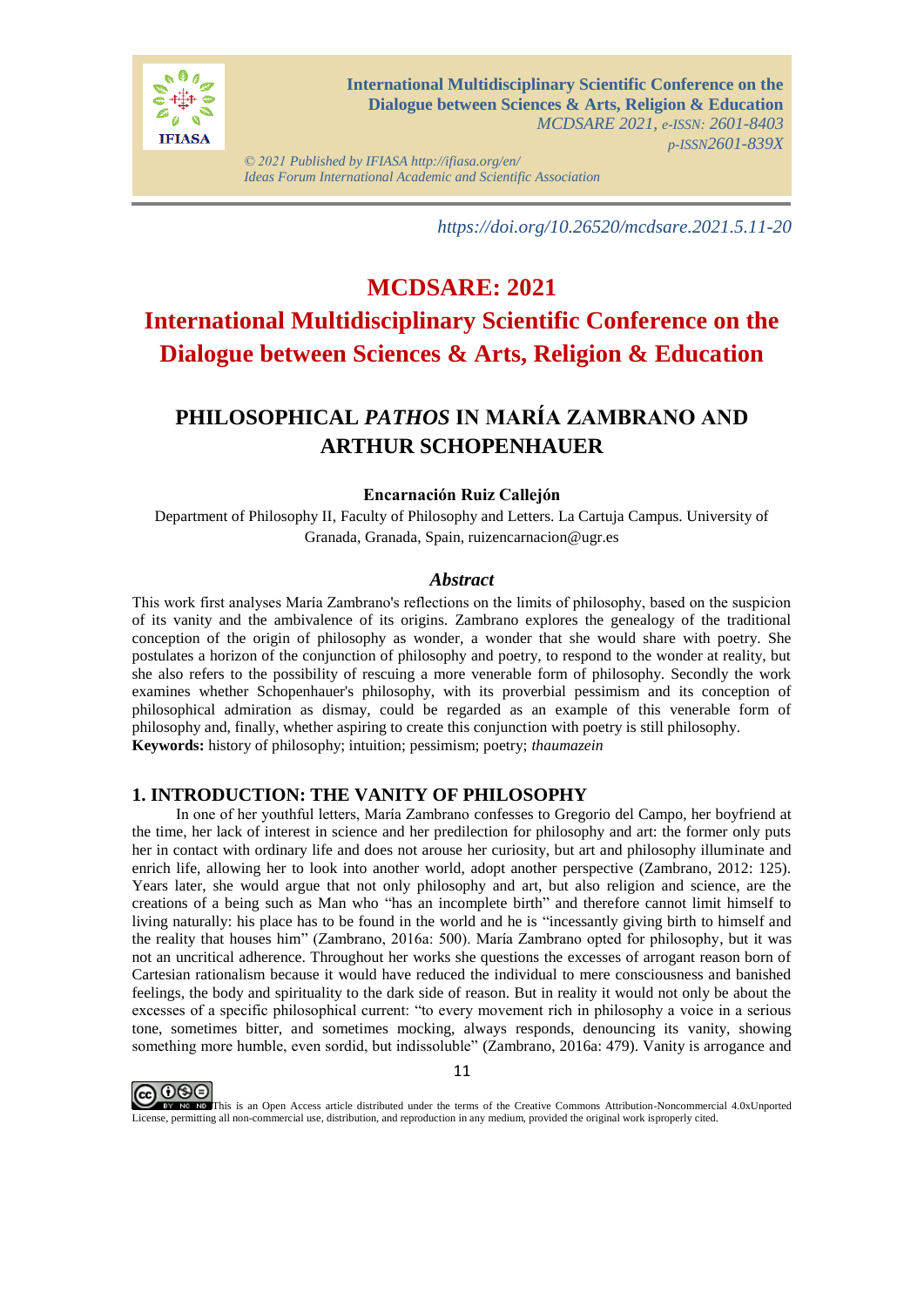

*© 2021 Published by IFIASA http://ifiasa.org/en/ Ideas Forum International Academic and Scientific Association*

*https://doi.org/10.26520/mcdsare.2021.5.11-20*

# **MCDSARE: 2021 International Multidisciplinary Scientific Conference on the Dialogue between Sciences & Arts, Religion & Education**

## **PHILOSOPHICAL** *PATHOS* **IN MARÍA ZAMBRANO AND ARTHUR SCHOPENHAUER**

### **Encarnación Ruiz Callejón**

Department of Philosophy II, Faculty of Philosophy and Letters. La Cartuja Campus. University of Granada, Granada, Spain, ruizencarnacion@ugr.es

#### *Abstract*

This work first analyses María Zambrano's reflections on the limits of philosophy, based on the suspicion of its vanity and the ambivalence of its origins. Zambrano explores the genealogy of the traditional conception of the origin of philosophy as wonder, a wonder that she would share with poetry. She postulates a horizon of the conjunction of philosophy and poetry, to respond to the wonder at reality, but she also refers to the possibility of rescuing a more venerable form of philosophy. Secondly the work examines whether Schopenhauer's philosophy, with its proverbial pessimism and its conception of philosophical admiration as dismay, could be regarded as an example of this venerable form of philosophy and, finally, whether aspiring to create this conjunction with poetry is still philosophy. **Keywords:** history of philosophy; intuition; pessimism; poetry; *thaumazein*

### **1. INTRODUCTION: THE VANITY OF PHILOSOPHY**

In one of her youthful letters, María Zambrano confesses to Gregorio del Campo, her boyfriend at the time, her lack of interest in science and her predilection for philosophy and art: the former only puts her in contact with ordinary life and does not arouse her curiosity, but art and philosophy illuminate and enrich life, allowing her to look into another world, adopt another perspective (Zambrano, 2012: 125). Years later, she would argue that not only philosophy and art, but also religion and science, are the creations of a being such as Man who "has an incomplete birth" and therefore cannot limit himself to living naturally: his place has to be found in the world and he is "incessantly giving birth to himself and the reality that houses him" (Zambrano, 2016a: 500). María Zambrano opted for philosophy, but it was not an uncritical adherence. Throughout her works she questions the excesses of arrogant reason born of Cartesian rationalism because it would have reduced the individual to mere consciousness and banished feelings, the body and spirituality to the dark side of reason. But in reality it would not only be about the excesses of a specific philosophical current: "to every movement rich in philosophy a voice in a serious tone, sometimes bitter, and sometimes mocking, always responds, denouncing its vanity, showing something more humble, even sordid, but indissoluble" (Zambrano, 2016a: 479). Vanity is arrogance and



11

EV NG NG This is an Open Access article distributed under the terms of the Creative Commons Attribution-Noncommercial 4.0xUnported License, permitting all non-commercial use, distribution, and reproduction in any medium, provided the original work isproperly cited.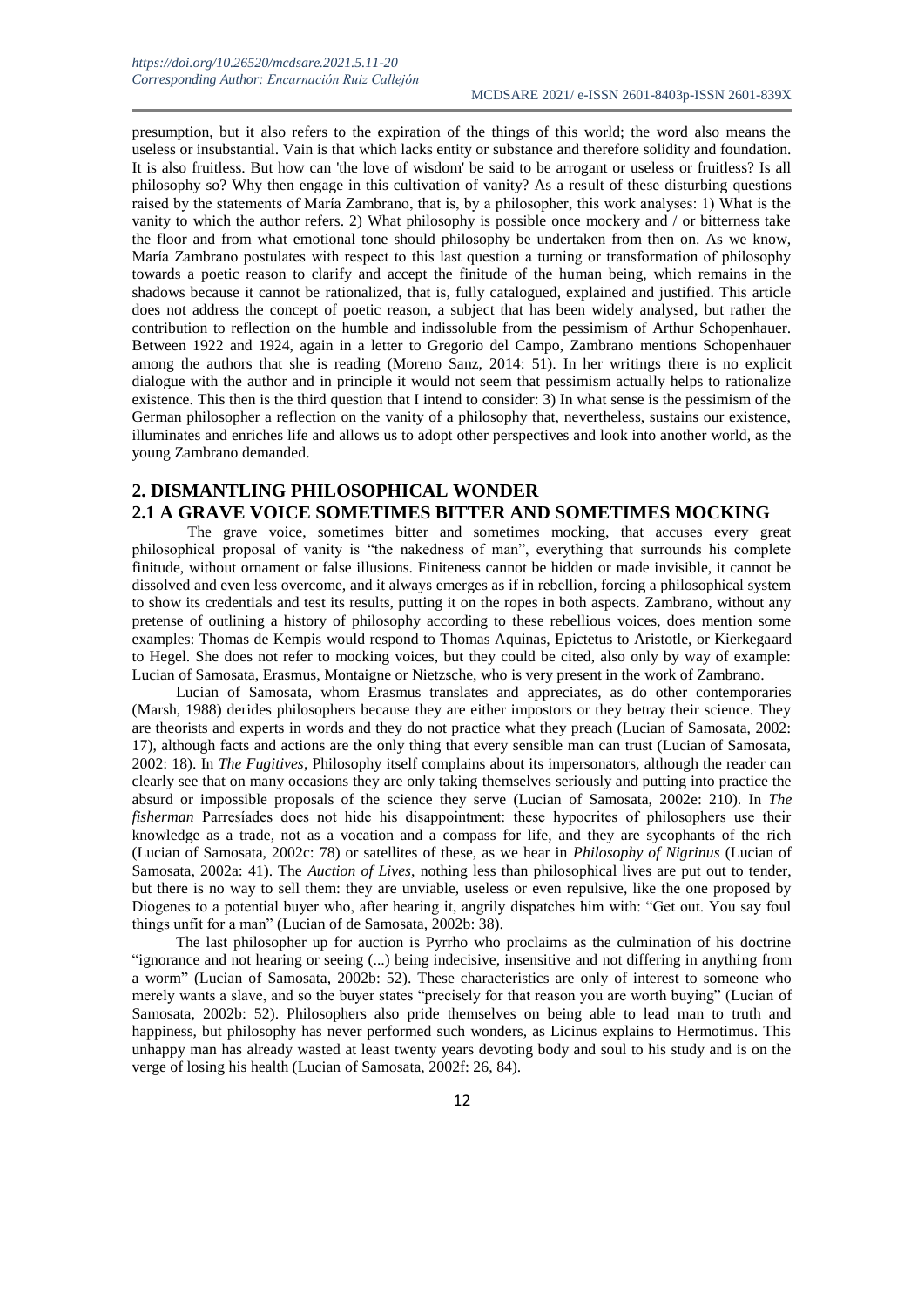presumption, but it also refers to the expiration of the things of this world; the word also means the useless or insubstantial. Vain is that which lacks entity or substance and therefore solidity and foundation. It is also fruitless. But how can 'the love of wisdom' be said to be arrogant or useless or fruitless? Is all philosophy so? Why then engage in this cultivation of vanity? As a result of these disturbing questions raised by the statements of María Zambrano, that is, by a philosopher, this work analyses: 1) What is the vanity to which the author refers. 2) What philosophy is possible once mockery and / or bitterness take the floor and from what emotional tone should philosophy be undertaken from then on. As we know, María Zambrano postulates with respect to this last question a turning or transformation of philosophy towards a poetic reason to clarify and accept the finitude of the human being, which remains in the shadows because it cannot be rationalized, that is, fully catalogued, explained and justified. This article does not address the concept of poetic reason, a subject that has been widely analysed, but rather the contribution to reflection on the humble and indissoluble from the pessimism of Arthur Schopenhauer. Between 1922 and 1924, again in a letter to Gregorio del Campo, Zambrano mentions Schopenhauer among the authors that she is reading (Moreno Sanz, 2014: 51). In her writings there is no explicit dialogue with the author and in principle it would not seem that pessimism actually helps to rationalize existence. This then is the third question that I intend to consider: 3) In what sense is the pessimism of the German philosopher a reflection on the vanity of a philosophy that, nevertheless, sustains our existence, illuminates and enriches life and allows us to adopt other perspectives and look into another world, as the young Zambrano demanded.

## **2. DISMANTLING PHILOSOPHICAL WONDER**

## **2.1 A GRAVE VOICE SOMETIMES BITTER AND SOMETIMES MOCKING**

 The grave voice, sometimes bitter and sometimes mocking, that accuses every great philosophical proposal of vanity is "the nakedness of man", everything that surrounds his complete finitude, without ornament or false illusions. Finiteness cannot be hidden or made invisible, it cannot be dissolved and even less overcome, and it always emerges as if in rebellion, forcing a philosophical system to show its credentials and test its results, putting it on the ropes in both aspects. Zambrano, without any pretense of outlining a history of philosophy according to these rebellious voices, does mention some examples: Thomas de Kempis would respond to Thomas Aquinas, Epictetus to Aristotle, or Kierkegaard to Hegel. She does not refer to mocking voices, but they could be cited, also only by way of example: Lucian of Samosata, Erasmus, Montaigne or Nietzsche, who is very present in the work of Zambrano.

Lucian of Samosata, whom Erasmus translates and appreciates, as do other contemporaries (Marsh, 1988) derides philosophers because they are either impostors or they betray their science. They are theorists and experts in words and they do not practice what they preach (Lucian of Samosata, 2002: 17), although facts and actions are the only thing that every sensible man can trust (Lucian of Samosata, 2002: 18). In *The Fugitives*, Philosophy itself complains about its impersonators, although the reader can clearly see that on many occasions they are only taking themselves seriously and putting into practice the absurd or impossible proposals of the science they serve (Lucian of Samosata, 2002e: 210). In *The fisherman* Parresíades does not hide his disappointment: these hypocrites of philosophers use their knowledge as a trade, not as a vocation and a compass for life, and they are sycophants of the rich (Lucian of Samosata, 2002c: 78) or satellites of these, as we hear in *Philosophy of Nigrinus* (Lucian of Samosata, 2002a: 41). The *Auction of Lives*, nothing less than philosophical lives are put out to tender, but there is no way to sell them: they are unviable, useless or even repulsive, like the one proposed by Diogenes to a potential buyer who, after hearing it, angrily dispatches him with: "Get out. You say foul things unfit for a man" (Lucian of de Samosata, 2002b: 38).

The last philosopher up for auction is Pyrrho who proclaims as the culmination of his doctrine "ignorance and not hearing or seeing (...) being indecisive, insensitive and not differing in anything from a worm" (Lucian of Samosata, 2002b: 52). These characteristics are only of interest to someone who merely wants a slave, and so the buyer states "precisely for that reason you are worth buying" (Lucian of Samosata, 2002b: 52). Philosophers also pride themselves on being able to lead man to truth and happiness, but philosophy has never performed such wonders, as Licinus explains to Hermotimus. This unhappy man has already wasted at least twenty years devoting body and soul to his study and is on the verge of losing his health (Lucian of Samosata, 2002f: 26, 84).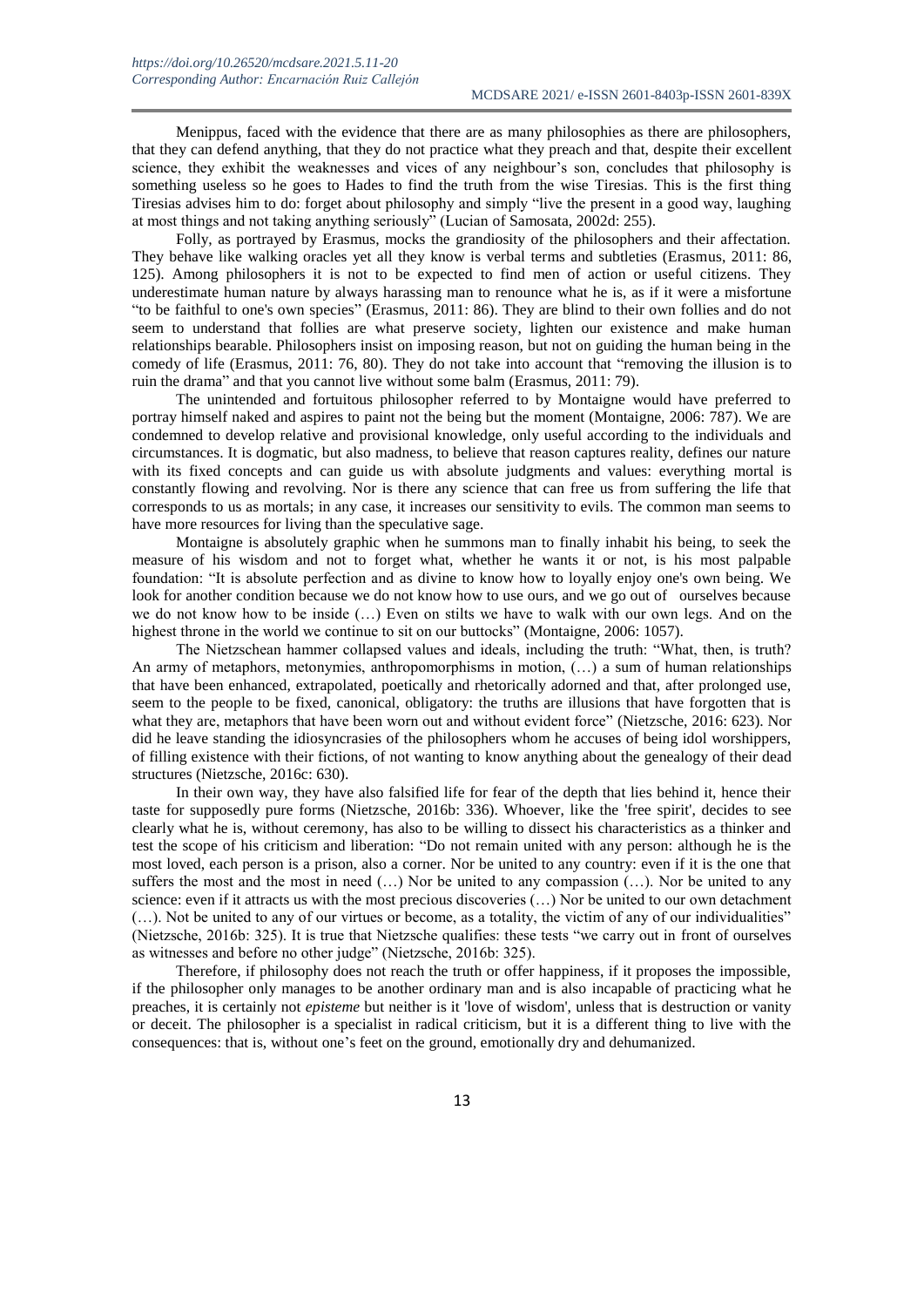Menippus, faced with the evidence that there are as many philosophies as there are philosophers, that they can defend anything, that they do not practice what they preach and that, despite their excellent science, they exhibit the weaknesses and vices of any neighbour's son, concludes that philosophy is something useless so he goes to Hades to find the truth from the wise Tiresias. This is the first thing Tiresias advises him to do: forget about philosophy and simply "live the present in a good way, laughing at most things and not taking anything seriously" (Lucian of Samosata, 2002d: 255).

Folly, as portrayed by Erasmus, mocks the grandiosity of the philosophers and their affectation. They behave like walking oracles yet all they know is verbal terms and subtleties (Erasmus, 2011: 86, 125). Among philosophers it is not to be expected to find men of action or useful citizens. They underestimate human nature by always harassing man to renounce what he is, as if it were a misfortune "to be faithful to one's own species" (Erasmus, 2011: 86). They are blind to their own follies and do not seem to understand that follies are what preserve society, lighten our existence and make human relationships bearable. Philosophers insist on imposing reason, but not on guiding the human being in the comedy of life (Erasmus, 2011: 76, 80). They do not take into account that "removing the illusion is to ruin the drama" and that you cannot live without some balm (Erasmus, 2011: 79).

The unintended and fortuitous philosopher referred to by Montaigne would have preferred to portray himself naked and aspires to paint not the being but the moment (Montaigne, 2006: 787). We are condemned to develop relative and provisional knowledge, only useful according to the individuals and circumstances. It is dogmatic, but also madness, to believe that reason captures reality, defines our nature with its fixed concepts and can guide us with absolute judgments and values: everything mortal is constantly flowing and revolving. Nor is there any science that can free us from suffering the life that corresponds to us as mortals; in any case, it increases our sensitivity to evils. The common man seems to have more resources for living than the speculative sage.

Montaigne is absolutely graphic when he summons man to finally inhabit his being, to seek the measure of his wisdom and not to forget what, whether he wants it or not, is his most palpable foundation: "It is absolute perfection and as divine to know how to loyally enjoy one's own being. We look for another condition because we do not know how to use ours, and we go out of ourselves because we do not know how to be inside (…) Even on stilts we have to walk with our own legs. And on the highest throne in the world we continue to sit on our buttocks" (Montaigne, 2006: 1057).

The Nietzschean hammer collapsed values and ideals, including the truth: "What, then, is truth? An army of metaphors, metonymies, anthropomorphisms in motion, (...) a sum of human relationships that have been enhanced, extrapolated, poetically and rhetorically adorned and that, after prolonged use, seem to the people to be fixed, canonical, obligatory: the truths are illusions that have forgotten that is what they are, metaphors that have been worn out and without evident force" (Nietzsche, 2016: 623). Nor did he leave standing the idiosyncrasies of the philosophers whom he accuses of being idol worshippers, of filling existence with their fictions, of not wanting to know anything about the genealogy of their dead structures (Nietzsche, 2016c: 630).

In their own way, they have also falsified life for fear of the depth that lies behind it, hence their taste for supposedly pure forms (Nietzsche, 2016b: 336). Whoever, like the 'free spirit', decides to see clearly what he is, without ceremony, has also to be willing to dissect his characteristics as a thinker and test the scope of his criticism and liberation: "Do not remain united with any person: although he is the most loved, each person is a prison, also a corner. Nor be united to any country: even if it is the one that suffers the most and the most in need (…) Nor be united to any compassion (…). Nor be united to any science: even if it attracts us with the most precious discoveries (…) Nor be united to our own detachment (…). Not be united to any of our virtues or become, as a totality, the victim of any of our individualities" (Nietzsche, 2016b: 325). It is true that Nietzsche qualifies: these tests "we carry out in front of ourselves as witnesses and before no other judge" (Nietzsche, 2016b: 325).

Therefore, if philosophy does not reach the truth or offer happiness, if it proposes the impossible, if the philosopher only manages to be another ordinary man and is also incapable of practicing what he preaches, it is certainly not *episteme* but neither is it 'love of wisdom', unless that is destruction or vanity or deceit. The philosopher is a specialist in radical criticism, but it is a different thing to live with the consequences: that is, without one's feet on the ground, emotionally dry and dehumanized.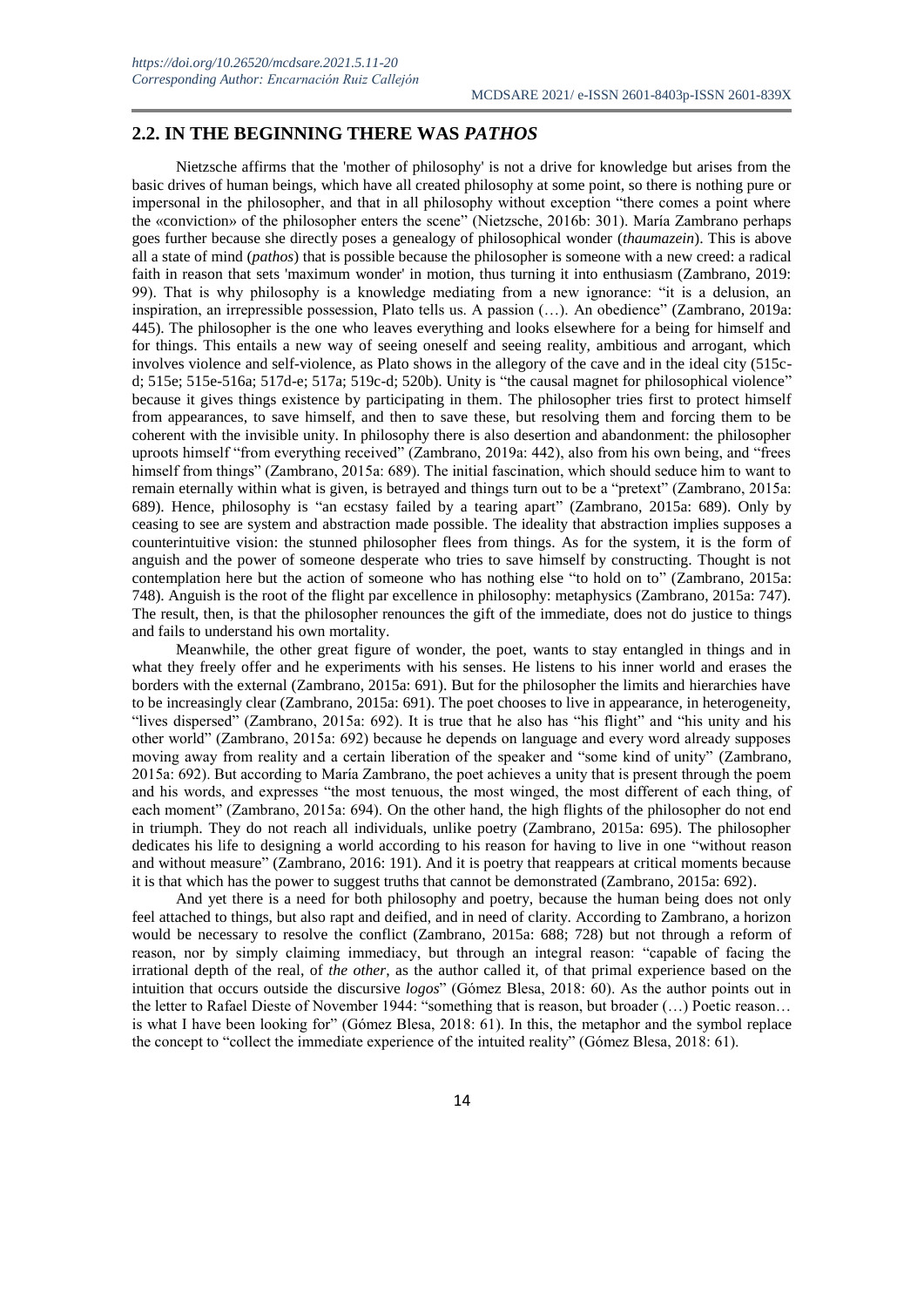## **2.2. IN THE BEGINNING THERE WAS** *PATHOS*

Nietzsche affirms that the 'mother of philosophy' is not a drive for knowledge but arises from the basic drives of human beings, which have all created philosophy at some point, so there is nothing pure or impersonal in the philosopher, and that in all philosophy without exception "there comes a point where the «conviction» of the philosopher enters the scene" (Nietzsche, 2016b: 301). María Zambrano perhaps goes further because she directly poses a genealogy of philosophical wonder (*thaumazein*). This is above all a state of mind (*pathos*) that is possible because the philosopher is someone with a new creed: a radical faith in reason that sets 'maximum wonder' in motion, thus turning it into enthusiasm (Zambrano, 2019: 99). That is why philosophy is a knowledge mediating from a new ignorance: "it is a delusion, an inspiration, an irrepressible possession, Plato tells us. A passion (…). An obedience" (Zambrano, 2019a: 445). The philosopher is the one who leaves everything and looks elsewhere for a being for himself and for things. This entails a new way of seeing oneself and seeing reality, ambitious and arrogant, which involves violence and self-violence, as Plato shows in the allegory of the cave and in the ideal city (515cd; 515e; 515e-516a; 517d-e; 517a; 519c-d; 520b). Unity is "the causal magnet for philosophical violence" because it gives things existence by participating in them. The philosopher tries first to protect himself from appearances, to save himself, and then to save these, but resolving them and forcing them to be coherent with the invisible unity. In philosophy there is also desertion and abandonment: the philosopher uproots himself "from everything received" (Zambrano, 2019a: 442), also from his own being, and "frees himself from things" (Zambrano, 2015a: 689). The initial fascination, which should seduce him to want to remain eternally within what is given, is betrayed and things turn out to be a "pretext" (Zambrano, 2015a: 689). Hence, philosophy is "an ecstasy failed by a tearing apart" (Zambrano, 2015a: 689). Only by ceasing to see are system and abstraction made possible. The ideality that abstraction implies supposes a counterintuitive vision: the stunned philosopher flees from things. As for the system, it is the form of anguish and the power of someone desperate who tries to save himself by constructing. Thought is not contemplation here but the action of someone who has nothing else "to hold on to" (Zambrano, 2015a: 748). Anguish is the root of the flight par excellence in philosophy: metaphysics (Zambrano, 2015a: 747). The result, then, is that the philosopher renounces the gift of the immediate, does not do justice to things and fails to understand his own mortality.

Meanwhile, the other great figure of wonder, the poet, wants to stay entangled in things and in what they freely offer and he experiments with his senses. He listens to his inner world and erases the borders with the external (Zambrano, 2015a: 691). But for the philosopher the limits and hierarchies have to be increasingly clear (Zambrano, 2015a: 691). The poet chooses to live in appearance, in heterogeneity, "lives dispersed" (Zambrano, 2015a: 692). It is true that he also has "his flight" and "his unity and his other world" (Zambrano, 2015a: 692) because he depends on language and every word already supposes moving away from reality and a certain liberation of the speaker and "some kind of unity" (Zambrano, 2015a: 692). But according to María Zambrano, the poet achieves a unity that is present through the poem and his words, and expresses "the most tenuous, the most winged, the most different of each thing, of each moment" (Zambrano, 2015a: 694). On the other hand, the high flights of the philosopher do not end in triumph. They do not reach all individuals, unlike poetry (Zambrano, 2015a: 695). The philosopher dedicates his life to designing a world according to his reason for having to live in one "without reason and without measure" (Zambrano, 2016: 191). And it is poetry that reappears at critical moments because it is that which has the power to suggest truths that cannot be demonstrated (Zambrano, 2015a: 692).

And yet there is a need for both philosophy and poetry, because the human being does not only feel attached to things, but also rapt and deified, and in need of clarity. According to Zambrano, a horizon would be necessary to resolve the conflict (Zambrano, 2015a: 688; 728) but not through a reform of reason, nor by simply claiming immediacy, but through an integral reason: "capable of facing the irrational depth of the real, of *the other*, as the author called it, of that primal experience based on the intuition that occurs outside the discursive *logos*" (Gómez Blesa, 2018: 60). As the author points out in the letter to Rafael Dieste of November 1944: "something that is reason, but broader (…) Poetic reason… is what I have been looking for" (Gómez Blesa, 2018: 61). In this, the metaphor and the symbol replace the concept to "collect the immediate experience of the intuited reality" (Gómez Blesa, 2018: 61).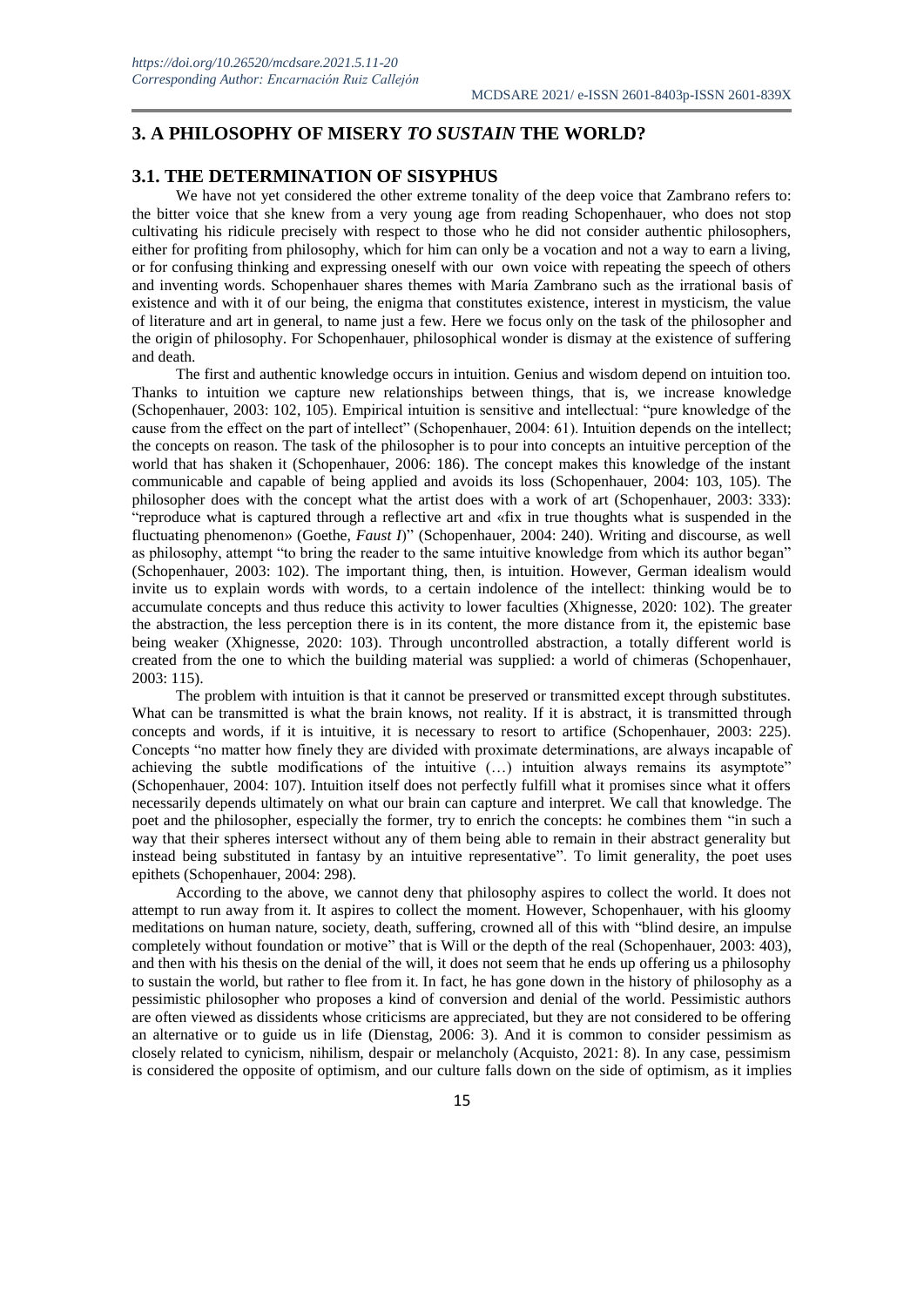## **3. A PHILOSOPHY OF MISERY** *TO SUSTAIN* **THE WORLD?**

### **3.1. THE DETERMINATION OF SISYPHUS**

We have not yet considered the other extreme tonality of the deep voice that Zambrano refers to: the bitter voice that she knew from a very young age from reading Schopenhauer, who does not stop cultivating his ridicule precisely with respect to those who he did not consider authentic philosophers, either for profiting from philosophy, which for him can only be a vocation and not a way to earn a living, or for confusing thinking and expressing oneself with our own voice with repeating the speech of others and inventing words. Schopenhauer shares themes with María Zambrano such as the irrational basis of existence and with it of our being, the enigma that constitutes existence, interest in mysticism, the value of literature and art in general, to name just a few. Here we focus only on the task of the philosopher and the origin of philosophy. For Schopenhauer, philosophical wonder is dismay at the existence of suffering and death.

The first and authentic knowledge occurs in intuition. Genius and wisdom depend on intuition too. Thanks to intuition we capture new relationships between things, that is, we increase knowledge (Schopenhauer, 2003: 102, 105). Empirical intuition is sensitive and intellectual: "pure knowledge of the cause from the effect on the part of intellect" (Schopenhauer, 2004: 61). Intuition depends on the intellect; the concepts on reason. The task of the philosopher is to pour into concepts an intuitive perception of the world that has shaken it (Schopenhauer, 2006: 186). The concept makes this knowledge of the instant communicable and capable of being applied and avoids its loss (Schopenhauer, 2004: 103, 105). The philosopher does with the concept what the artist does with a work of art (Schopenhauer, 2003: 333): "reproduce what is captured through a reflective art and «fix in true thoughts what is suspended in the fluctuating phenomenon» (Goethe, *Faust I*)" (Schopenhauer, 2004: 240). Writing and discourse, as well as philosophy, attempt "to bring the reader to the same intuitive knowledge from which its author began" (Schopenhauer, 2003: 102). The important thing, then, is intuition. However, German idealism would invite us to explain words with words, to a certain indolence of the intellect: thinking would be to accumulate concepts and thus reduce this activity to lower faculties (Xhignesse, 2020: 102). The greater the abstraction, the less perception there is in its content, the more distance from it, the epistemic base being weaker (Xhignesse, 2020: 103). Through uncontrolled abstraction, a totally different world is created from the one to which the building material was supplied: a world of chimeras (Schopenhauer, 2003: 115).

The problem with intuition is that it cannot be preserved or transmitted except through substitutes. What can be transmitted is what the brain knows, not reality. If it is abstract, it is transmitted through concepts and words, if it is intuitive, it is necessary to resort to artifice (Schopenhauer, 2003: 225). Concepts "no matter how finely they are divided with proximate determinations, are always incapable of achieving the subtle modifications of the intuitive (…) intuition always remains its asymptote" (Schopenhauer, 2004: 107). Intuition itself does not perfectly fulfill what it promises since what it offers necessarily depends ultimately on what our brain can capture and interpret. We call that knowledge. The poet and the philosopher, especially the former, try to enrich the concepts: he combines them "in such a way that their spheres intersect without any of them being able to remain in their abstract generality but instead being substituted in fantasy by an intuitive representative". To limit generality, the poet uses epithets (Schopenhauer, 2004: 298).

According to the above, we cannot deny that philosophy aspires to collect the world. It does not attempt to run away from it. It aspires to collect the moment. However, Schopenhauer, with his gloomy meditations on human nature, society, death, suffering, crowned all of this with "blind desire, an impulse completely without foundation or motive" that is Will or the depth of the real (Schopenhauer, 2003: 403), and then with his thesis on the denial of the will, it does not seem that he ends up offering us a philosophy to sustain the world, but rather to flee from it. In fact, he has gone down in the history of philosophy as a pessimistic philosopher who proposes a kind of conversion and denial of the world. Pessimistic authors are often viewed as dissidents whose criticisms are appreciated, but they are not considered to be offering an alternative or to guide us in life (Dienstag, 2006: 3). And it is common to consider pessimism as closely related to cynicism, nihilism, despair or melancholy (Acquisto, 2021: 8). In any case, pessimism is considered the opposite of optimism, and our culture falls down on the side of optimism, as it implies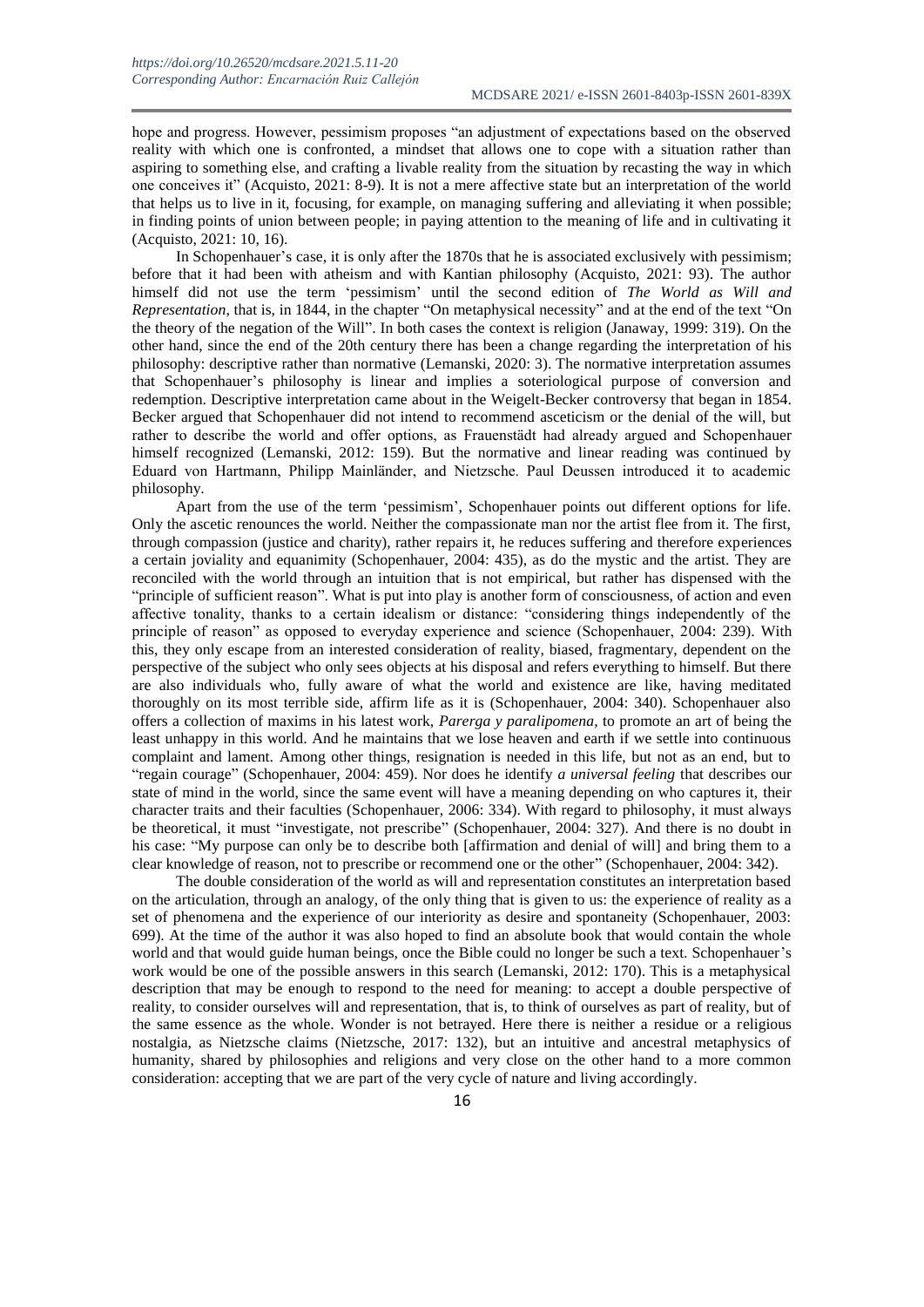hope and progress. However, pessimism proposes "an adjustment of expectations based on the observed reality with which one is confronted, a mindset that allows one to cope with a situation rather than aspiring to something else, and crafting a livable reality from the situation by recasting the way in which one conceives it" (Acquisto, 2021: 8-9). It is not a mere affective state but an interpretation of the world that helps us to live in it, focusing, for example, on managing suffering and alleviating it when possible; in finding points of union between people; in paying attention to the meaning of life and in cultivating it (Acquisto, 2021: 10, 16).

In Schopenhauer's case, it is only after the 1870s that he is associated exclusively with pessimism; before that it had been with atheism and with Kantian philosophy (Acquisto, 2021: 93). The author himself did not use the term 'pessimism' until the second edition of *The World as Will and Representation*, that is, in 1844, in the chapter "On metaphysical necessity" and at the end of the text "On the theory of the negation of the Will". In both cases the context is religion (Janaway, 1999: 319). On the other hand, since the end of the 20th century there has been a change regarding the interpretation of his philosophy: descriptive rather than normative (Lemanski, 2020: 3). The normative interpretation assumes that Schopenhauer's philosophy is linear and implies a soteriological purpose of conversion and redemption. Descriptive interpretation came about in the Weigelt-Becker controversy that began in 1854. Becker argued that Schopenhauer did not intend to recommend asceticism or the denial of the will, but rather to describe the world and offer options, as Frauenstädt had already argued and Schopenhauer himself recognized (Lemanski, 2012: 159). But the normative and linear reading was continued by Eduard von Hartmann, Philipp Mainländer, and Nietzsche. Paul Deussen introduced it to academic philosophy.

Apart from the use of the term 'pessimism', Schopenhauer points out different options for life. Only the ascetic renounces the world. Neither the compassionate man nor the artist flee from it. The first, through compassion (justice and charity), rather repairs it, he reduces suffering and therefore experiences a certain joviality and equanimity (Schopenhauer, 2004: 435), as do the mystic and the artist. They are reconciled with the world through an intuition that is not empirical, but rather has dispensed with the "principle of sufficient reason". What is put into play is another form of consciousness, of action and even affective tonality, thanks to a certain idealism or distance: "considering things independently of the principle of reason" as opposed to everyday experience and science (Schopenhauer, 2004: 239). With this, they only escape from an interested consideration of reality, biased, fragmentary, dependent on the perspective of the subject who only sees objects at his disposal and refers everything to himself. But there are also individuals who, fully aware of what the world and existence are like, having meditated thoroughly on its most terrible side, affirm life as it is (Schopenhauer, 2004: 340). Schopenhauer also offers a collection of maxims in his latest work, *Parerga y paralipomena*, to promote an art of being the least unhappy in this world. And he maintains that we lose heaven and earth if we settle into continuous complaint and lament. Among other things, resignation is needed in this life, but not as an end, but to "regain courage" (Schopenhauer, 2004: 459). Nor does he identify *a universal feeling* that describes our state of mind in the world, since the same event will have a meaning depending on who captures it, their character traits and their faculties (Schopenhauer, 2006: 334). With regard to philosophy, it must always be theoretical, it must "investigate, not prescribe" (Schopenhauer, 2004: 327). And there is no doubt in his case: "My purpose can only be to describe both [affirmation and denial of will] and bring them to a clear knowledge of reason, not to prescribe or recommend one or the other" (Schopenhauer, 2004: 342).

The double consideration of the world as will and representation constitutes an interpretation based on the articulation, through an analogy, of the only thing that is given to us: the experience of reality as a set of phenomena and the experience of our interiority as desire and spontaneity (Schopenhauer, 2003: 699). At the time of the author it was also hoped to find an absolute book that would contain the whole world and that would guide human beings, once the Bible could no longer be such a text. Schopenhauer's work would be one of the possible answers in this search (Lemanski, 2012: 170). This is a metaphysical description that may be enough to respond to the need for meaning: to accept a double perspective of reality, to consider ourselves will and representation, that is, to think of ourselves as part of reality, but of the same essence as the whole. Wonder is not betrayed. Here there is neither a residue or a religious nostalgia, as Nietzsche claims (Nietzsche, 2017: 132), but an intuitive and ancestral metaphysics of humanity, shared by philosophies and religions and very close on the other hand to a more common consideration: accepting that we are part of the very cycle of nature and living accordingly.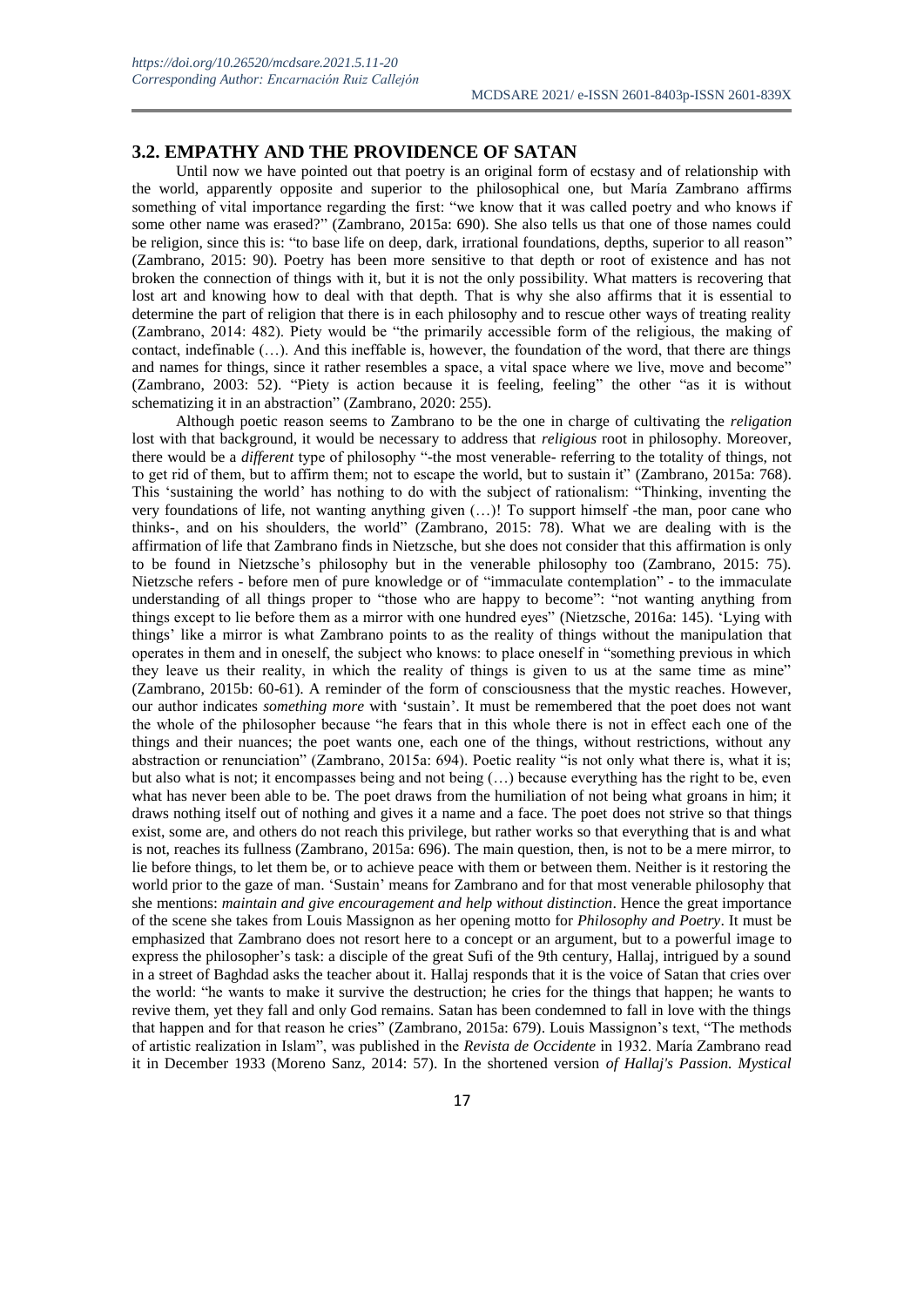#### **3.2. EMPATHY AND THE PROVIDENCE OF SATAN**

Until now we have pointed out that poetry is an original form of ecstasy and of relationship with the world, apparently opposite and superior to the philosophical one, but María Zambrano affirms something of vital importance regarding the first: "we know that it was called poetry and who knows if some other name was erased?" (Zambrano, 2015a: 690). She also tells us that one of those names could be religion, since this is: "to base life on deep, dark, irrational foundations, depths, superior to all reason" (Zambrano, 2015: 90). Poetry has been more sensitive to that depth or root of existence and has not broken the connection of things with it, but it is not the only possibility. What matters is recovering that lost art and knowing how to deal with that depth. That is why she also affirms that it is essential to determine the part of religion that there is in each philosophy and to rescue other ways of treating reality (Zambrano, 2014: 482). Piety would be "the primarily accessible form of the religious, the making of contact, indefinable  $(...)$ . And this ineffable is, however, the foundation of the word, that there are things and names for things, since it rather resembles a space, a vital space where we live, move and become" (Zambrano, 2003: 52). "Piety is action because it is feeling, feeling" the other "as it is without schematizing it in an abstraction" (Zambrano, 2020: 255).

Although poetic reason seems to Zambrano to be the one in charge of cultivating the *religation* lost with that background, it would be necessary to address that *religious* root in philosophy. Moreover, there would be a *different* type of philosophy "-the most venerable- referring to the totality of things, not to get rid of them, but to affirm them; not to escape the world, but to sustain it" (Zambrano, 2015a: 768). This 'sustaining the world' has nothing to do with the subject of rationalism: "Thinking, inventing the very foundations of life, not wanting anything given (…)! To support himself -the man, poor cane who thinks-, and on his shoulders, the world" (Zambrano, 2015: 78). What we are dealing with is the affirmation of life that Zambrano finds in Nietzsche, but she does not consider that this affirmation is only to be found in Nietzsche's philosophy but in the venerable philosophy too (Zambrano, 2015: 75). Nietzsche refers - before men of pure knowledge or of "immaculate contemplation" - to the immaculate understanding of all things proper to "those who are happy to become": "not wanting anything from things except to lie before them as a mirror with one hundred eyes" (Nietzsche, 2016a: 145). 'Lying with things' like a mirror is what Zambrano points to as the reality of things without the manipulation that operates in them and in oneself, the subject who knows: to place oneself in "something previous in which they leave us their reality, in which the reality of things is given to us at the same time as mine" (Zambrano, 2015b: 60-61). A reminder of the form of consciousness that the mystic reaches. However, our author indicates *something more* with 'sustain'. It must be remembered that the poet does not want the whole of the philosopher because "he fears that in this whole there is not in effect each one of the things and their nuances; the poet wants one, each one of the things, without restrictions, without any abstraction or renunciation" (Zambrano, 2015a: 694). Poetic reality "is not only what there is, what it is; but also what is not; it encompasses being and not being (…) because everything has the right to be, even what has never been able to be. The poet draws from the humiliation of not being what groans in him; it draws nothing itself out of nothing and gives it a name and a face. The poet does not strive so that things exist, some are, and others do not reach this privilege, but rather works so that everything that is and what is not, reaches its fullness (Zambrano, 2015a: 696). The main question, then, is not to be a mere mirror, to lie before things, to let them be, or to achieve peace with them or between them. Neither is it restoring the world prior to the gaze of man. 'Sustain' means for Zambrano and for that most venerable philosophy that she mentions: *maintain and give encouragement and help without distinction*. Hence the great importance of the scene she takes from Louis Massignon as her opening motto for *Philosophy and Poetry*. It must be emphasized that Zambrano does not resort here to a concept or an argument, but to a powerful image to express the philosopher's task: a disciple of the great Sufi of the 9th century, Hallaj, intrigued by a sound in a street of Baghdad asks the teacher about it. Hallaj responds that it is the voice of Satan that cries over the world: "he wants to make it survive the destruction; he cries for the things that happen; he wants to revive them, yet they fall and only God remains. Satan has been condemned to fall in love with the things that happen and for that reason he cries" (Zambrano, 2015a: 679). Louis Massignon's text, "The methods of artistic realization in Islam", was published in the *Revista de Occidente* in 1932. María Zambrano read it in December 1933 (Moreno Sanz, 2014: 57). In the shortened version *of Hallaj's Passion. Mystical*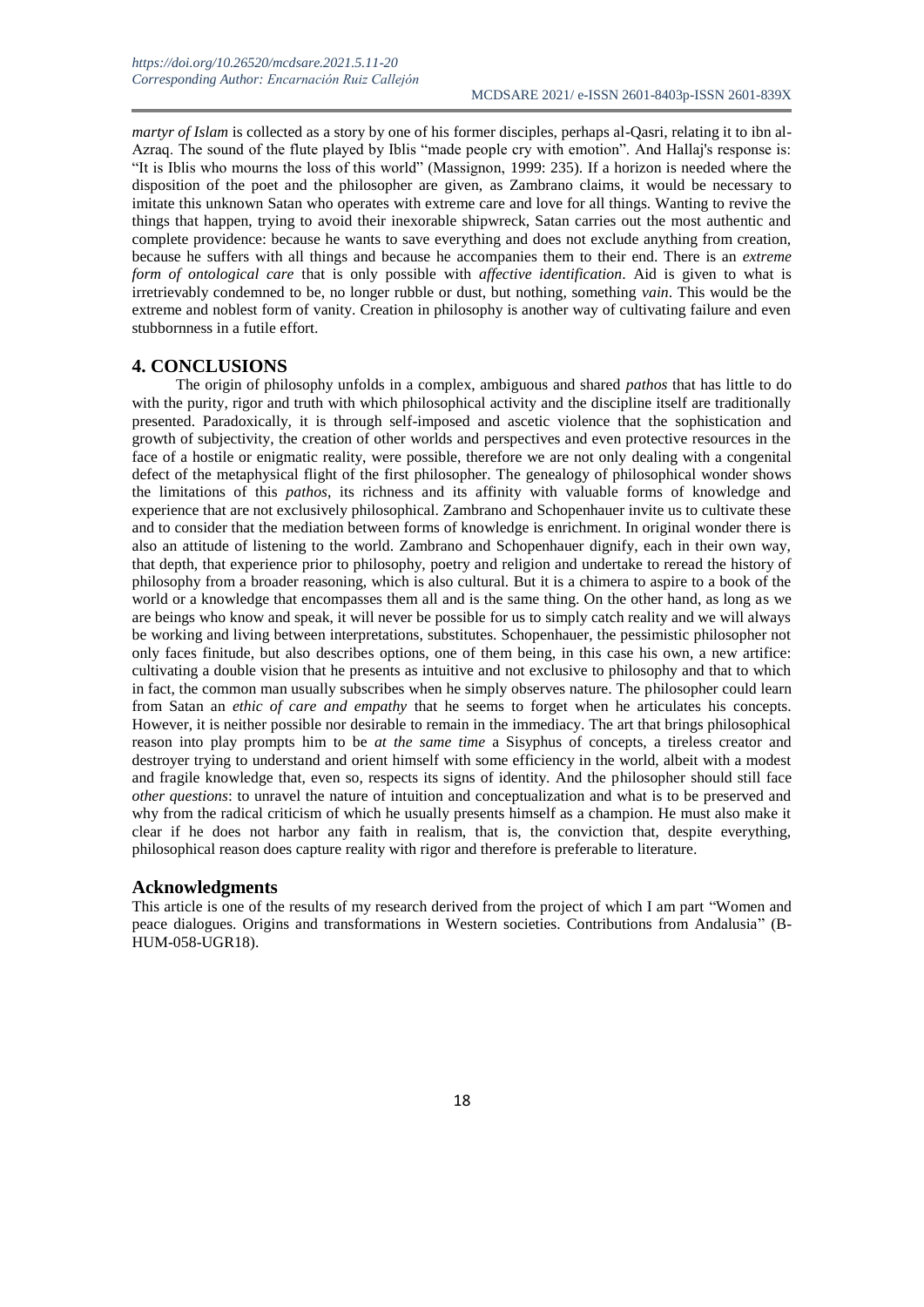*martyr of Islam* is collected as a story by one of his former disciples, perhaps al-Qasri, relating it to ibn al-Azraq. The sound of the flute played by Iblis "made people cry with emotion". And Hallaj's response is: "It is Iblis who mourns the loss of this world" (Massignon, 1999: 235). If a horizon is needed where the disposition of the poet and the philosopher are given, as Zambrano claims, it would be necessary to imitate this unknown Satan who operates with extreme care and love for all things. Wanting to revive the things that happen, trying to avoid their inexorable shipwreck, Satan carries out the most authentic and complete providence: because he wants to save everything and does not exclude anything from creation, because he suffers with all things and because he accompanies them to their end. There is an *extreme form of ontological care* that is only possible with *affective identification*. Aid is given to what is irretrievably condemned to be, no longer rubble or dust, but nothing, something *vain*. This would be the extreme and noblest form of vanity. Creation in philosophy is another way of cultivating failure and even stubbornness in a futile effort.

#### **4. CONCLUSIONS**

The origin of philosophy unfolds in a complex, ambiguous and shared *pathos* that has little to do with the purity, rigor and truth with which philosophical activity and the discipline itself are traditionally presented. Paradoxically, it is through self-imposed and ascetic violence that the sophistication and growth of subjectivity, the creation of other worlds and perspectives and even protective resources in the face of a hostile or enigmatic reality, were possible, therefore we are not only dealing with a congenital defect of the metaphysical flight of the first philosopher. The genealogy of philosophical wonder shows the limitations of this *pathos*, its richness and its affinity with valuable forms of knowledge and experience that are not exclusively philosophical. Zambrano and Schopenhauer invite us to cultivate these and to consider that the mediation between forms of knowledge is enrichment. In original wonder there is also an attitude of listening to the world. Zambrano and Schopenhauer dignify, each in their own way, that depth, that experience prior to philosophy, poetry and religion and undertake to reread the history of philosophy from a broader reasoning, which is also cultural. But it is a chimera to aspire to a book of the world or a knowledge that encompasses them all and is the same thing. On the other hand, as long as we are beings who know and speak, it will never be possible for us to simply catch reality and we will always be working and living between interpretations, substitutes. Schopenhauer, the pessimistic philosopher not only faces finitude, but also describes options, one of them being, in this case his own, a new artifice: cultivating a double vision that he presents as intuitive and not exclusive to philosophy and that to which in fact, the common man usually subscribes when he simply observes nature. The philosopher could learn from Satan an *ethic of care and empathy* that he seems to forget when he articulates his concepts. However, it is neither possible nor desirable to remain in the immediacy. The art that brings philosophical reason into play prompts him to be *at the same time* a Sisyphus of concepts, a tireless creator and destroyer trying to understand and orient himself with some efficiency in the world, albeit with a modest and fragile knowledge that, even so, respects its signs of identity. And the philosopher should still face *other questions*: to unravel the nature of intuition and conceptualization and what is to be preserved and why from the radical criticism of which he usually presents himself as a champion. He must also make it clear if he does not harbor any faith in realism, that is, the conviction that, despite everything, philosophical reason does capture reality with rigor and therefore is preferable to literature.

#### **Acknowledgments**

This article is one of the results of my research derived from the project of which I am part "Women and peace dialogues. Origins and transformations in Western societies. Contributions from Andalusia" (B-HUM-058-UGR18).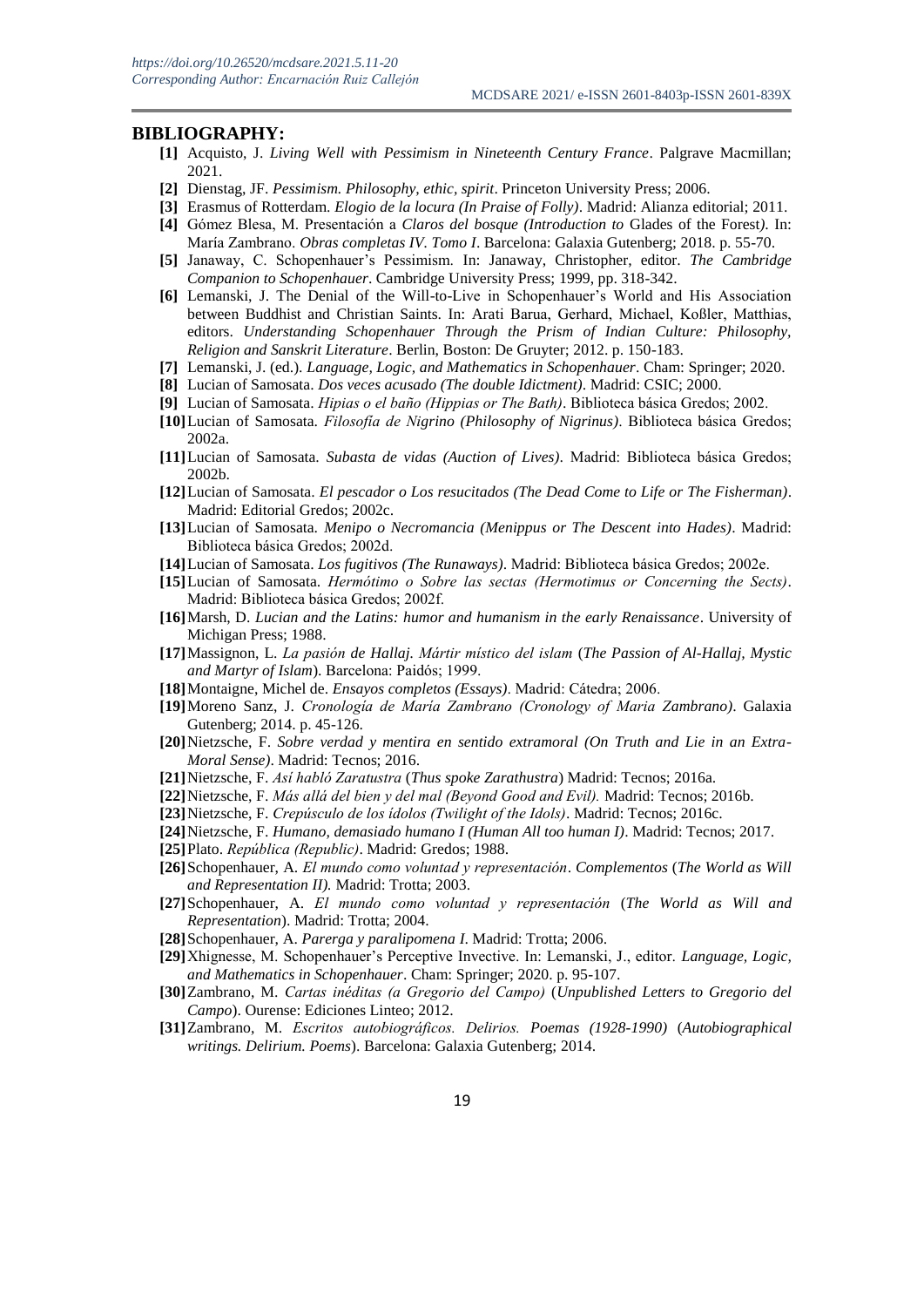#### **BIBLIOGRAPHY:**

- **[1]** Acquisto, J. *Living Well with Pessimism in Nineteenth Century France*. Palgrave Macmillan; 2021.
- **[2]** Dienstag, JF. *Pessimism. Philosophy, ethic, spirit*. Princeton University Press; 2006.
- **[3]** Erasmus of Rotterdam. *Elogio de la locura (In Praise of Folly)*. Madrid: Alianza editorial; 2011.
- **[4]** Gómez Blesa, M. Presentación a *Claros del bosque (Introduction to* Glades of the Forest*)*. In: María Zambrano. *Obras completas IV. Tomo I*. Barcelona: Galaxia Gutenberg; 2018. p. 55-70.
- **[5]** Janaway, C. Schopenhauer's Pessimism. In: Janaway, Christopher, editor. *The Cambridge Companion to Schopenhauer*. Cambridge University Press; 1999, pp. 318-342.
- **[6]** Lemanski, J. The Denial of the Will-to-Live in Schopenhauer's World and His Association between Buddhist and Christian Saints. In: Arati Barua, Gerhard, Michael, Koßler, Matthias, editors. *Understanding Schopenhauer Through the Prism of Indian Culture: Philosophy, Religion and Sanskrit Literature*. Berlin, Boston: De Gruyter; 2012. p. 150-183.
- **[7]** Lemanski, J. (ed.). *Language, Logic, and Mathematics in Schopenhauer*. Cham: Springer; 2020.
- **[8]** Lucian of Samosata. *Dos veces acusado (The double Idictment)*. Madrid: CSIC; 2000.
- **[9]** Lucian of Samosata. *Hipias o el baño (Hippias or The Bath)*. Biblioteca básica Gredos; 2002.
- **[10]**Lucian of Samosata. *Filosofía de Nigrino (Philosophy of Nigrinus)*. Biblioteca básica Gredos; 2002a.
- **[11]**Lucian of Samosata. *Subasta de vidas (Auction of Lives)*. Madrid: Biblioteca básica Gredos; 2002b.
- **[12]**Lucian of Samosata. *El pescador o Los resucitados (The Dead Come to Life or The Fisherman)*. Madrid: Editorial Gredos; 2002c.
- **[13]**Lucian of Samosata. *Menipo o Necromancia (Menippus or The Descent into Hades)*. Madrid: Biblioteca básica Gredos; 2002d.
- **[14]**Lucian of Samosata. *Los fugitivos (The Runaways)*. Madrid: Biblioteca básica Gredos; 2002e.
- **[15]**Lucian of Samosata. *Hermótimo o Sobre las sectas (Hermotimus or Concerning the Sects)*. Madrid: Biblioteca básica Gredos; 2002f.
- **[16]**Marsh, D. *Lucian and the Latins: humor and humanism in the early Renaissance*. University of Michigan Press; 1988.
- **[17]**Massignon, L. *La pasión de Hallaj. Mártir místico del islam* (*The Passion of Al-Hallaj, Mystic and Martyr of Islam*). Barcelona: Paidós; 1999.
- **[18]**Montaigne, Michel de. *Ensayos completos (Essays)*. Madrid: Cátedra; 2006.
- **[19]**Moreno Sanz, J. *Cronología de María Zambrano (Cronology of Maria Zambrano)*. Galaxia Gutenberg; 2014. p. 45-126.
- **[20]**Nietzsche, F. *Sobre verdad y mentira en sentido extramoral (On Truth and Lie in an Extra-Moral Sense)*. Madrid: Tecnos; 2016.
- **[21]**Nietzsche, F. *Así habló Zaratustra* (*Thus spoke Zarathustra*) Madrid: Tecnos; 2016a.
- **[22]**Nietzsche, F. *Más allá del bien y del mal (Beyond Good and Evil).* Madrid: Tecnos; 2016b.
- **[23]**Nietzsche, F. *Crepúsculo de los ídolos (Twilight of the Idols)*. Madrid: Tecnos; 2016c.
- **[24]**Nietzsche, F. *Humano, demasiado humano I (Human All too human I)*. Madrid: Tecnos; 2017.
- **[25]**Plato. *República (Republic)*. Madrid: Gredos; 1988.
- **[26]**Schopenhauer, A. *El mundo como voluntad y representación*. *Complementos* (*The World as Will and Representation II).* Madrid: Trotta; 2003.
- **[27]**Schopenhauer, A. *El mundo como voluntad y representación* (*The World as Will and Representation*). Madrid: Trotta; 2004.
- **[28]**Schopenhauer, A. *Parerga y paralipomena I*. Madrid: Trotta; 2006.
- **[29]**Xhignesse, M. Schopenhauer's Perceptive Invective. In: Lemanski, J., editor. *Language, Logic, and Mathematics in Schopenhauer*. Cham: Springer; 2020. p. 95-107.
- **[30]**Zambrano, M. *Cartas inéditas (a Gregorio del Campo)* (*Unpublished Letters to Gregorio del Campo*). Ourense: Ediciones Linteo; 2012.
- **[31]**Zambrano, M. *Escritos autobiográficos. Delirios. Poemas (1928-1990)* (*Autobiographical writings. Delirium. Poems*). Barcelona: Galaxia Gutenberg; 2014.